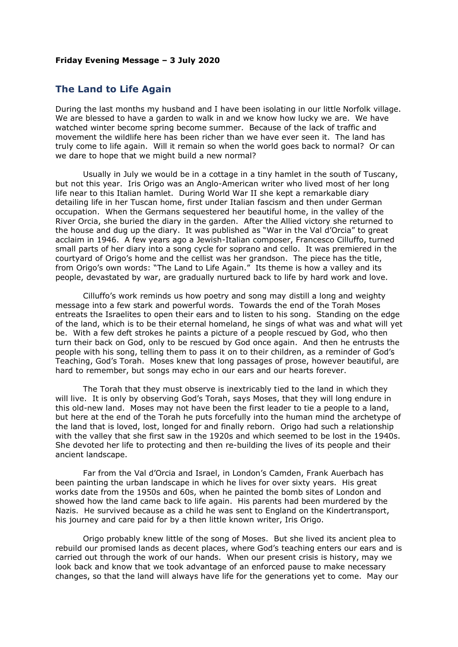## **Friday Evening Message – 3 July 2020**

## **The Land to Life Again**

During the last months my husband and I have been isolating in our little Norfolk village. We are blessed to have a garden to walk in and we know how lucky we are. We have watched winter become spring become summer. Because of the lack of traffic and movement the wildlife here has been richer than we have ever seen it. The land has truly come to life again. Will it remain so when the world goes back to normal? Or can we dare to hope that we might build a new normal?

Usually in July we would be in a cottage in a tiny hamlet in the south of Tuscany, but not this year. Iris Origo was an Anglo-American writer who lived most of her long life near to this Italian hamlet. During World War II she kept a remarkable diary detailing life in her Tuscan home, first under Italian fascism and then under German occupation. When the Germans sequestered her beautiful home, in the valley of the River Orcia, she buried the diary in the garden. After the Allied victory she returned to the house and dug up the diary. It was published as "War in the Val d'Orcia" to great acclaim in 1946. A few years ago a Jewish-Italian composer, Francesco Cilluffo, turned small parts of her diary into a song cycle for soprano and cello. It was premiered in the courtyard of Origo's home and the cellist was her grandson. The piece has the title, from Origo's own words: "The Land to Life Again." Its theme is how a valley and its people, devastated by war, are gradually nurtured back to life by hard work and love.

Cilluffo's work reminds us how poetry and song may distill a long and weighty message into a few stark and powerful words. Towards the end of the Torah Moses entreats the Israelites to open their ears and to listen to his song. Standing on the edge of the land, which is to be their eternal homeland, he sings of what was and what will yet be. With a few deft strokes he paints a picture of a people rescued by God, who then turn their back on God, only to be rescued by God once again. And then he entrusts the people with his song, telling them to pass it on to their children, as a reminder of God's Teaching, God's Torah. Moses knew that long passages of prose, however beautiful, are hard to remember, but songs may echo in our ears and our hearts forever.

The Torah that they must observe is inextricably tied to the land in which they will live. It is only by observing God's Torah, says Moses, that they will long endure in this old-new land. Moses may not have been the first leader to tie a people to a land, but here at the end of the Torah he puts forcefully into the human mind the archetype of the land that is loved, lost, longed for and finally reborn. Origo had such a relationship with the valley that she first saw in the 1920s and which seemed to be lost in the 1940s. She devoted her life to protecting and then re-building the lives of its people and their ancient landscape.

Far from the Val d'Orcia and Israel, in London's Camden, Frank Auerbach has been painting the urban landscape in which he lives for over sixty years. His great works date from the 1950s and 60s, when he painted the bomb sites of London and showed how the land came back to life again. His parents had been murdered by the Nazis. He survived because as a child he was sent to England on the Kindertransport, his journey and care paid for by a then little known writer, Iris Origo.

Origo probably knew little of the song of Moses. But she lived its ancient plea to rebuild our promised lands as decent places, where God's teaching enters our ears and is carried out through the work of our hands. When our present crisis is history, may we look back and know that we took advantage of an enforced pause to make necessary changes, so that the land will always have life for the generations yet to come. May our